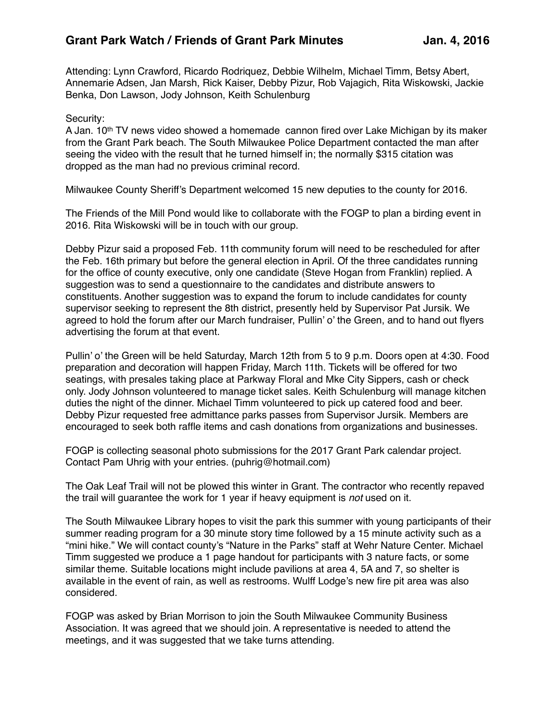Attending: Lynn Crawford, Ricardo Rodriquez, Debbie Wilhelm, Michael Timm, Betsy Abert, Annemarie Adsen, Jan Marsh, Rick Kaiser, Debby Pizur, Rob Vajagich, Rita Wiskowski, Jackie Benka, Don Lawson, Jody Johnson, Keith Schulenburg

## Security:

A Jan.  $10^{th}$  TV news video showed a homemade cannon fired over Lake Michigan by its maker from the Grant Park beach. The South Milwaukee Police Department contacted the man after seeing the video with the result that he turned himself in; the normally \$315 citation was dropped as the man had no previous criminal record.

Milwaukee County Sheriff's Department welcomed 15 new deputies to the county for 2016.

The Friends of the Mill Pond would like to collaborate with the FOGP to plan a birding event in 2016. Rita Wiskowski will be in touch with our group.

Debby Pizur said a proposed Feb. 11th community forum will need to be rescheduled for after the Feb. 16th primary but before the general election in April. Of the three candidates running for the office of county executive, only one candidate (Steve Hogan from Franklin) replied. A suggestion was to send a questionnaire to the candidates and distribute answers to constituents. Another suggestion was to expand the forum to include candidates for county supervisor seeking to represent the 8th district, presently held by Supervisor Pat Jursik. We agreed to hold the forum after our March fundraiser, Pullin' o' the Green, and to hand out flyers advertising the forum at that event.

Pullin' o' the Green will be held Saturday, March 12th from 5 to 9 p.m. Doors open at 4:30. Food preparation and decoration will happen Friday, March 11th. Tickets will be offered for two seatings, with presales taking place at Parkway Floral and Mke City Sippers, cash or check only. Jody Johnson volunteered to manage ticket sales. Keith Schulenburg will manage kitchen duties the night of the dinner. Michael Timm volunteered to pick up catered food and beer. Debby Pizur requested free admittance parks passes from Supervisor Jursik. Members are encouraged to seek both raffle items and cash donations from organizations and businesses.

FOGP is collecting seasonal photo submissions for the 2017 Grant Park calendar project. Contact Pam Uhrig with your entries. (puhrig@hotmail.com)

The Oak Leaf Trail will not be plowed this winter in Grant. The contractor who recently repaved the trail will guarantee the work for 1 year if heavy equipment is *not* used on it.

The South Milwaukee Library hopes to visit the park this summer with young participants of their summer reading program for a 30 minute story time followed by a 15 minute activity such as a "mini hike." We will contact county's "Nature in the Parks" staff at Wehr Nature Center. Michael Timm suggested we produce a 1 page handout for participants with 3 nature facts, or some similar theme. Suitable locations might include pavilions at area 4, 5A and 7, so shelter is available in the event of rain, as well as restrooms. Wulff Lodge's new fire pit area was also considered.

FOGP was asked by Brian Morrison to join the South Milwaukee Community Business Association. It was agreed that we should join. A representative is needed to attend the meetings, and it was suggested that we take turns attending.